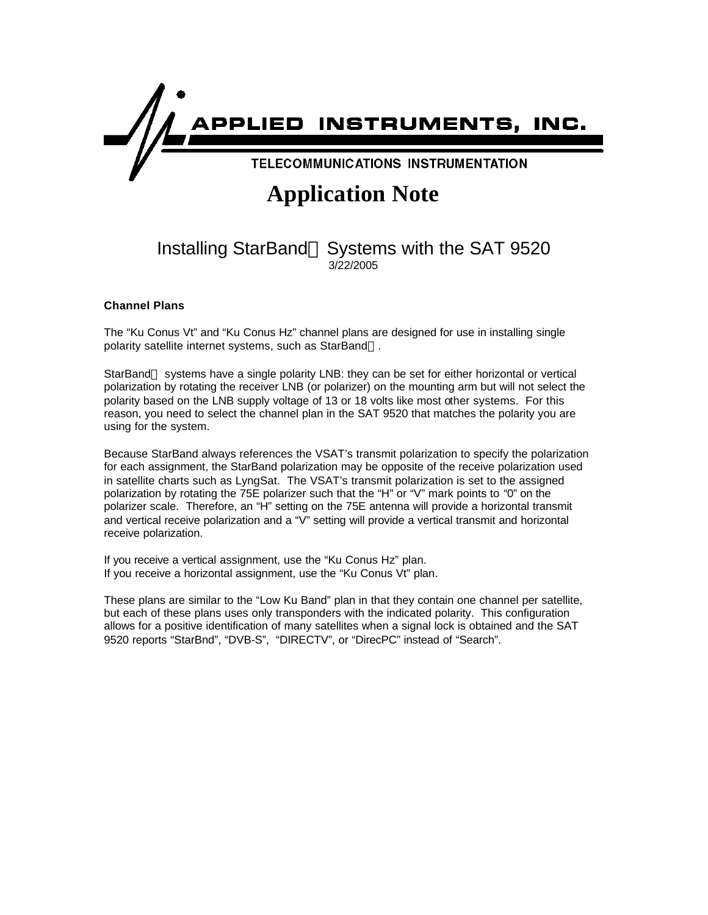

## **Application Note**

## Installing StarBand™ Systems with the SAT 9520 3/22/2005

## **Channel Plans**

The "Ku Conus Vt" and "Ku Conus Hz" channel plans are designed for use in installing single polarity satellite internet systems, such as StarBand™.

StarBand™ systems have a single polarity LNB: they can be set for either horizontal or vertical polarization by rotating the receiver LNB (or polarizer) on the mounting arm but will not select the polarity based on the LNB supply voltage of 13 or 18 volts like most other systems. For this reason, you need to select the channel plan in the SAT 9520 that matches the polarity you are using for the system.

Because StarBand always references the VSAT's transmit polarization to specify the polarization for each assignment, the StarBand polarization may be opposite of the receive polarization used in satellite charts such as LyngSat. The VSAT's transmit polarization is set to the assigned polarization by rotating the 75E polarizer such that the "H" or "V" mark points to "0" on the polarizer scale. Therefore, an "H" setting on the 75E antenna will provide a horizontal transmit and vertical receive polarization and a "V" setting will provide a vertical transmit and horizontal receive polarization.

If you receive a vertical assignment, use the "Ku Conus Hz" plan. If you receive a horizontal assignment, use the "Ku Conus Vt" plan.

These plans are similar to the "Low Ku Band" plan in that they contain one channel per satellite, but each of these plans uses only transponders with the indicated polarity. This configuration allows for a positive identification of many satellites when a signal lock is obtained and the SAT 9520 reports "StarBnd", "DVB-S", "DIRECTV", or "DirecPC" instead of "Search".